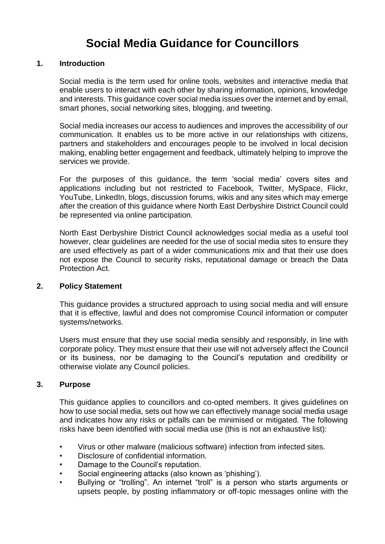# **Social Media Guidance for Councillors**

#### **1. Introduction**

Social media is the term used for online tools, websites and interactive media that enable users to interact with each other by sharing information, opinions, knowledge and interests. This guidance cover social media issues over the internet and by email, smart phones, social networking sites, blogging, and tweeting.

Social media increases our access to audiences and improves the accessibility of our communication. It enables us to be more active in our relationships with citizens, partners and stakeholders and encourages people to be involved in local decision making, enabling better engagement and feedback, ultimately helping to improve the services we provide.

For the purposes of this guidance, the term 'social media' covers sites and applications including but not restricted to Facebook, Twitter, MySpace, Flickr, YouTube, LinkedIn, blogs, discussion forums, wikis and any sites which may emerge after the creation of this guidance where North East Derbyshire District Council could be represented via online participation.

North East Derbyshire District Council acknowledges social media as a useful tool however, clear guidelines are needed for the use of social media sites to ensure they are used effectively as part of a wider communications mix and that their use does not expose the Council to security risks, reputational damage or breach the Data Protection Act.

#### **2. Policy Statement**

This guidance provides a structured approach to using social media and will ensure that it is effective, lawful and does not compromise Council information or computer systems/networks.

Users must ensure that they use social media sensibly and responsibly, in line with corporate policy. They must ensure that their use will not adversely affect the Council or its business, nor be damaging to the Council's reputation and credibility or otherwise violate any Council policies.

#### **3. Purpose**

This guidance applies to councillors and co-opted members. It gives guidelines on how to use social media, sets out how we can effectively manage social media usage and indicates how any risks or pitfalls can be minimised or mitigated. The following risks have been identified with social media use (this is not an exhaustive list):

- Virus or other malware (malicious software) infection from infected sites.
- Disclosure of confidential information.
- Damage to the Council's reputation.
- Social engineering attacks (also known as 'phishing').
- Bullying or "trolling". An internet "troll" is a person who starts arguments or upsets people, by posting inflammatory or off-topic messages online with the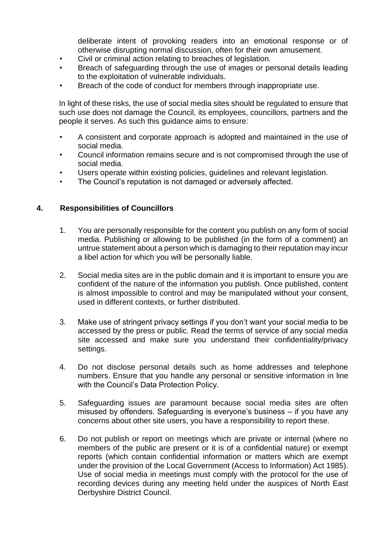deliberate intent of provoking readers into an emotional response or of otherwise disrupting normal discussion, often for their own amusement.

- Civil or criminal action relating to breaches of legislation.
- Breach of safeguarding through the use of images or personal details leading to the exploitation of vulnerable individuals.
- Breach of the code of conduct for members through inappropriate use.

In light of these risks, the use of social media sites should be regulated to ensure that such use does not damage the Council, its employees, councillors, partners and the people it serves. As such this guidance aims to ensure:

- A consistent and corporate approach is adopted and maintained in the use of social media.
- Council information remains secure and is not compromised through the use of social media.
- Users operate within existing policies, guidelines and relevant legislation.
- The Council's reputation is not damaged or adversely affected.

#### **4. Responsibilities of Councillors**

- 1. You are personally responsible for the content you publish on any form of social media. Publishing or allowing to be published (in the form of a comment) an untrue statement about a person which is damaging to their reputation may incur a libel action for which you will be personally liable.
- 2. Social media sites are in the public domain and it is important to ensure you are confident of the nature of the information you publish. Once published, content is almost impossible to control and may be manipulated without your consent, used in different contexts, or further distributed.
- 3. Make use of stringent privacy settings if you don't want your social media to be accessed by the press or public. Read the terms of service of any social media site accessed and make sure you understand their confidentiality/privacy settings.
- 4. Do not disclose personal details such as home addresses and telephone numbers. Ensure that you handle any personal or sensitive information in line with the Council's Data Protection Policy.
- 5. Safeguarding issues are paramount because social media sites are often misused by offenders. Safeguarding is everyone's business – if you have any concerns about other site users, you have a responsibility to report these.
- 6. Do not publish or report on meetings which are private or internal (where no members of the public are present or it is of a confidential nature) or exempt reports (which contain confidential information or matters which are exempt under the provision of the Local Government (Access to Information) Act 1985). Use of social media in meetings must comply with the protocol for the use of recording devices during any meeting held under the auspices of North East Derbyshire District Council.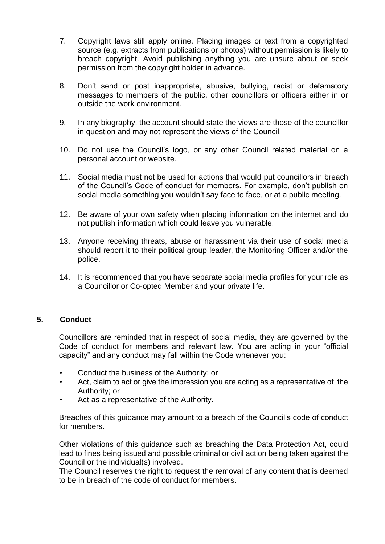- 7. Copyright laws still apply online. Placing images or text from a copyrighted source (e.g. extracts from publications or photos) without permission is likely to breach copyright. Avoid publishing anything you are unsure about or seek permission from the copyright holder in advance.
- 8. Don't send or post inappropriate, abusive, bullying, racist or defamatory messages to members of the public, other councillors or officers either in or outside the work environment.
- 9. In any biography, the account should state the views are those of the councillor in question and may not represent the views of the Council.
- 10. Do not use the Council's logo, or any other Council related material on a personal account or website.
- 11. Social media must not be used for actions that would put councillors in breach of the Council's Code of conduct for members. For example, don't publish on social media something you wouldn't say face to face, or at a public meeting.
- 12. Be aware of your own safety when placing information on the internet and do not publish information which could leave you vulnerable.
- 13. Anyone receiving threats, abuse or harassment via their use of social media should report it to their political group leader, the Monitoring Officer and/or the police.
- 14. It is recommended that you have separate social media profiles for your role as a Councillor or Co-opted Member and your private life.

### **5. Conduct**

Councillors are reminded that in respect of social media, they are governed by the Code of conduct for members and relevant law. You are acting in your "official capacity" and any conduct may fall within the Code whenever you:

- Conduct the business of the Authority; or
- Act, claim to act or give the impression you are acting as a representative of the Authority; or
- Act as a representative of the Authority.

Breaches of this guidance may amount to a breach of the Council's code of conduct for members.

Other violations of this guidance such as breaching the Data Protection Act, could lead to fines being issued and possible criminal or civil action being taken against the Council or the individual(s) involved.

The Council reserves the right to request the removal of any content that is deemed to be in breach of the code of conduct for members.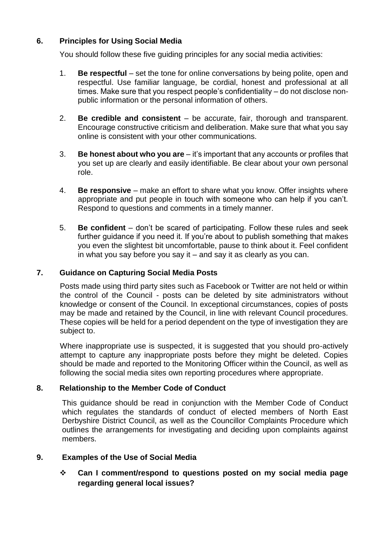# **6. Principles for Using Social Media**

You should follow these five guiding principles for any social media activities:

- 1. **Be respectful** set the tone for online conversations by being polite, open and respectful. Use familiar language, be cordial, honest and professional at all times. Make sure that you respect people's confidentiality – do not disclose nonpublic information or the personal information of others.
- 2. **Be credible and consistent** be accurate, fair, thorough and transparent. Encourage constructive criticism and deliberation. Make sure that what you say online is consistent with your other communications.
- 3. **Be honest about who you are** it's important that any accounts or profiles that you set up are clearly and easily identifiable. Be clear about your own personal role.
- 4. **Be responsive** make an effort to share what you know. Offer insights where appropriate and put people in touch with someone who can help if you can't. Respond to questions and comments in a timely manner.
- 5. **Be confident** don't be scared of participating. Follow these rules and seek further guidance if you need it. If you're about to publish something that makes you even the slightest bit uncomfortable, pause to think about it. Feel confident in what you say before you say it – and say it as clearly as you can.

# **7. Guidance on Capturing Social Media Posts**

Posts made using third party sites such as Facebook or Twitter are not held or within the control of the Council - posts can be deleted by site administrators without knowledge or consent of the Council. In exceptional circumstances, copies of posts may be made and retained by the Council, in line with relevant Council procedures. These copies will be held for a period dependent on the type of investigation they are subject to.

Where inappropriate use is suspected, it is suggested that you should pro-actively attempt to capture any inappropriate posts before they might be deleted. Copies should be made and reported to the Monitoring Officer within the Council, as well as following the social media sites own reporting procedures where appropriate.

# **8. Relationship to the Member Code of Conduct**

This guidance should be read in conjunction with the Member Code of Conduct which regulates the standards of conduct of elected members of North East Derbyshire District Council, as well as the Councillor Complaints Procedure which outlines the arrangements for investigating and deciding upon complaints against members.

#### **9. Examples of the Use of Social Media**

 **Can I comment/respond to questions posted on my social media page regarding general local issues?**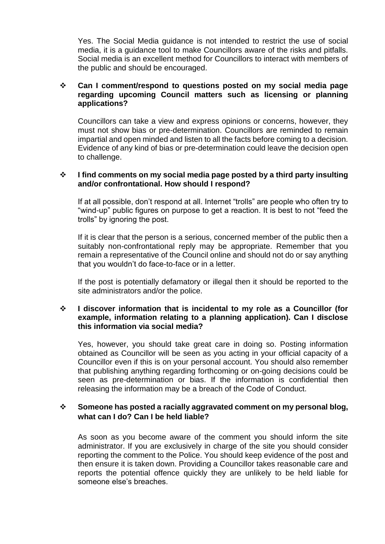Yes. The Social Media guidance is not intended to restrict the use of social media, it is a guidance tool to make Councillors aware of the risks and pitfalls. Social media is an excellent method for Councillors to interact with members of the public and should be encouraged.

#### **Can I comment/respond to questions posted on my social media page regarding upcoming Council matters such as licensing or planning applications?**

Councillors can take a view and express opinions or concerns, however, they must not show bias or pre-determination. Councillors are reminded to remain impartial and open minded and listen to all the facts before coming to a decision. Evidence of any kind of bias or pre-determination could leave the decision open to challenge.

#### **I find comments on my social media page posted by a third party insulting and/or confrontational. How should I respond?**

If at all possible, don't respond at all. Internet "trolls" are people who often try to "wind-up" public figures on purpose to get a reaction. It is best to not "feed the trolls" by ignoring the post.

If it is clear that the person is a serious, concerned member of the public then a suitably non-confrontational reply may be appropriate. Remember that you remain a representative of the Council online and should not do or say anything that you wouldn't do face-to-face or in a letter.

If the post is potentially defamatory or illegal then it should be reported to the site administrators and/or the police.

#### **I discover information that is incidental to my role as a Councillor (for example, information relating to a planning application). Can I disclose this information via social media?**

Yes, however, you should take great care in doing so. Posting information obtained as Councillor will be seen as you acting in your official capacity of a Councillor even if this is on your personal account. You should also remember that publishing anything regarding forthcoming or on-going decisions could be seen as pre-determination or bias. If the information is confidential then releasing the information may be a breach of the Code of Conduct.

## **Someone has posted a racially aggravated comment on my personal blog, what can I do? Can I be held liable?**

As soon as you become aware of the comment you should inform the site administrator. If you are exclusively in charge of the site you should consider reporting the comment to the Police. You should keep evidence of the post and then ensure it is taken down. Providing a Councillor takes reasonable care and reports the potential offence quickly they are unlikely to be held liable for someone else's breaches.